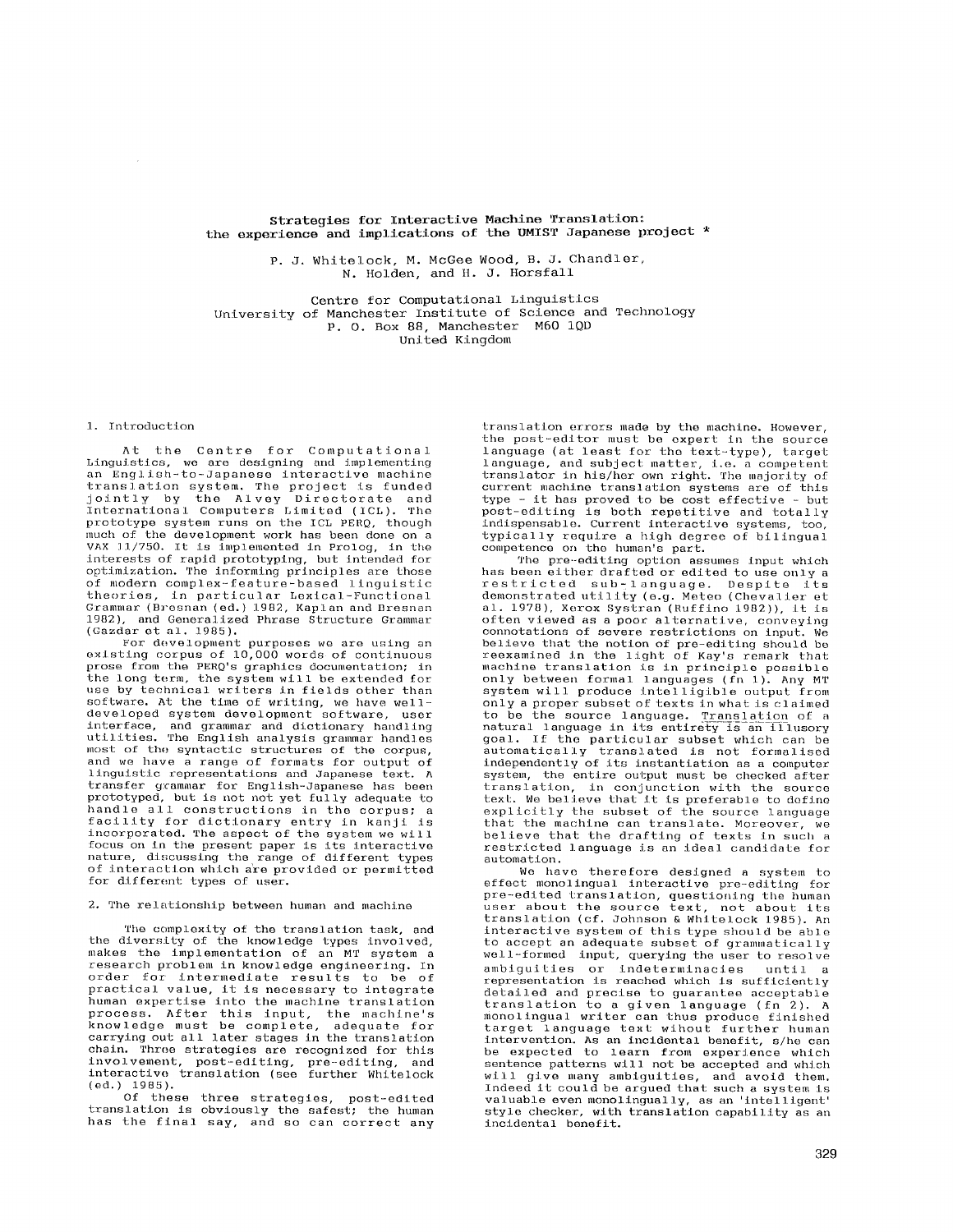Strategies for Interactive Machine Translation: the experience and implications of the UMIST Japanese project \*

> P. J. Whitelock, M. McGee Wood, B. J. Chandler, N. Holden, and H. J. Horsfall

Centre for Computational Linguistics University of Manchester Institute of Science and Technology P. O. Box 88, Manchester M60 IQD United Kingdom

### 1, Introduction

At the Centre for Computational Linguistics, we are designing and implementing an English-to-Japanese interactive machine translation system. The project is funded<br>jointly by the Alvey Directorate and<br>International Computers Limited (ICL). The prototype system runs on the ICL PERQ, though much of the development work has been done on a VAX 11/750. It is implemented in Prolog, in the interests of rapid prototyping, but intended for optimization. The informing principles are those of modern complex-feature-based linguistic theories, in particular Lexical--Functional Grammar (Bresnan (ed.) 1982, Kaplan and Bresnan 1982), and Generalized Phrase Structure Grammar (Gazdar et al. 1985).

For development purposes we are using an<br>existing corpus of 10,000 words of continuous prose from the PERQ's graphics documentation; in the long term, the system will be extended for use by technical writers in fields other than software. At the time of writing, we have well-developed system development software, user interface, and grammar and dictionary handling<br>utilities. The English analysis grammar handles most of the syntactic structures of the corpus, and we have a range of formats for output of linguistic representations and Japanese text. A transfer grammar for English-Japanese has been prototyped, but is not not yet fully adequate to handle all constructions in the corpus; a facility for dictionary entry in kanji is incorporated. The aspect of the system we will focus on in the present paper is its interactive nature, discussing the range of different types of interaction which a're provided or permitted for different types of user.

### 2. The relationship between human and machine

The complexity of the translation task, and the diversity of the knowledge types involved, makes the implementation of an MT system a research problem in knowledge engineering. In order for intermediate results to be of practlcal value, it is necessary to integrate human expertise into the machine translation process. After this input, the machine's knowledge must be complete, adequate for carrying out all later stages in the translation chain. Three strategies are recognized for this involvement, post-editlng, pre-edit ing, and interactive translation (see further Whitelock (ed.) 1985).

Of these three strategies, post-edited translation is obviously the safest; the human has the final say, and so can correct any translation errors made by the machine. However, the post-editor must be expert in the source language (at least for the text-type), target language, and subject matter, i.e. a competent translator in his/her own right. The majority of current machine translation systems are of this type - it has proved to be cost effective - but post-editing is both repetitive and totally<br>indispensable. Current interactive systems, too, typically require a high degree of bilingual competence on the humen's part.

The pre-editing option assumes input which has been either drafted or edited to use only a restricted sub-language. Despite its<br>demonstrated\_utility (e.g. Meteo (Chevalier et al. 1978), Xerox Systran (Ruffino 1982)), it is often viewed as a poor alternative, conveying connotations of severe *restrictions on* input. We believe that the notion of pre-editing should be reexamined in the light of Kay's remark that machine translation is in principle possible<br>only between formal languages (fn 1). Any MT system will produce intelligible output from only a proper subset of texts in what is claimed • to be the source language. Translation of a natural language in its entirety is an illusory goal. If the particular subset which can be automatically translated is not formalised<br>independently of its instantiation as a computer system, the entire output must be checked after translation, in conjunction with the source text. We believe that it is preferable to define explicitly the subset of the source language tbat the machine can translate. Moreover, we believe that the drafting of texts in such a restricted language is an ideal candidate for automation.

We have therefore designed a system to effect monolingual interactive pre-editing for pre-edited *translation,* questioning the human user about the source text, not about its translation (cf. Johnson & Whitelock 1985). An interactive system of this type should be able to accept an adequate subset of grammatically well-formed input, querying the user to resolve ambiguities or indeterminacies until a representation is reached which is sufficiently detailed and precise to guarantee acceptable translation to a given language (fn 2). A<br>monolingual writer can thus produce finished target language text wihout further human intervention. As an incidental benefit, s/he can be expected to learn from experience which sentence patterns will not be accepted and which will give many ambiguities, and avoid them. Indeed it could be argued that such a system is valuable even monolingually, as an 'intelligent' style checker, with translation capability as an incidental benefit.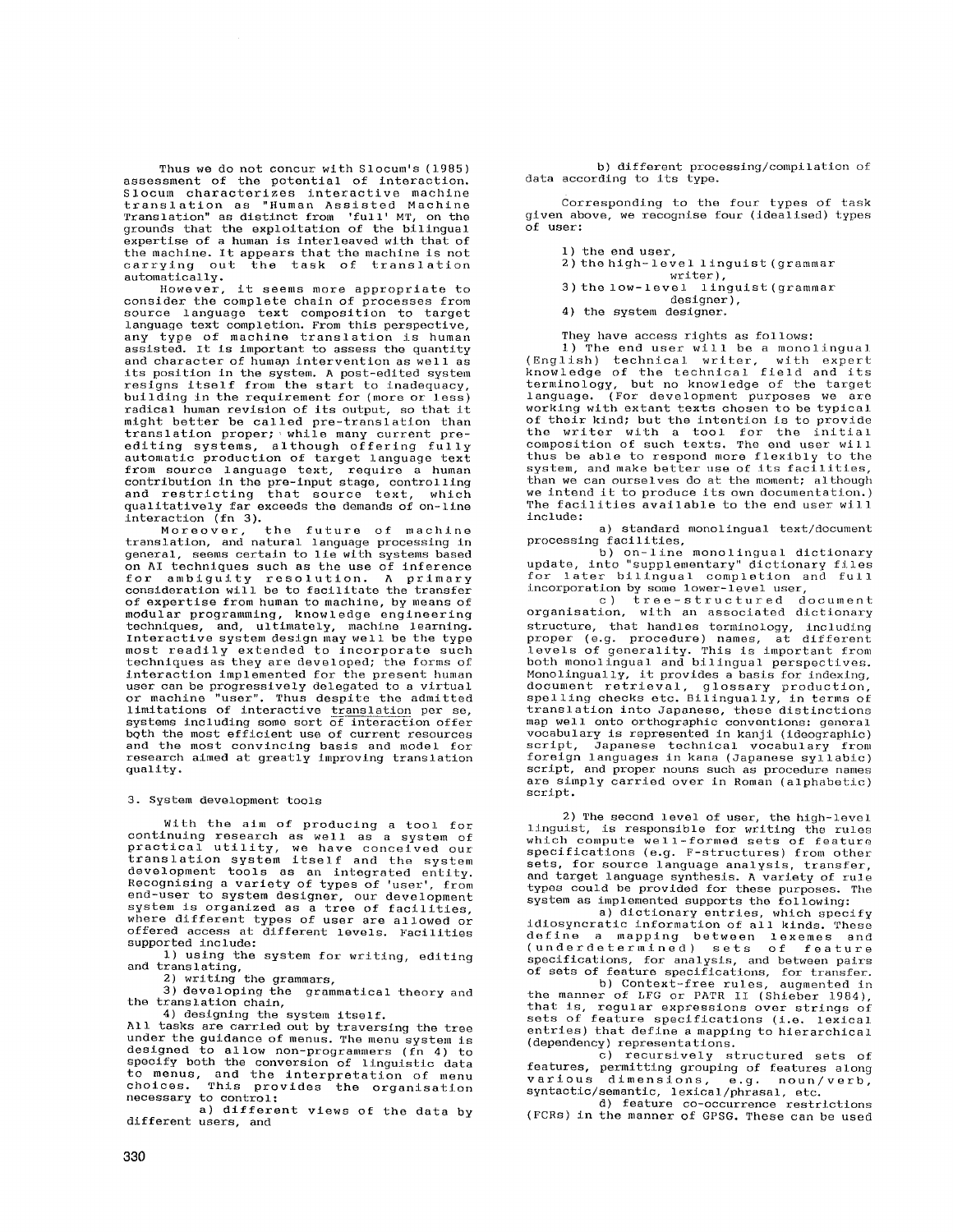Thus we do not concur with Slocum's (1985) assessment of the potential of interaction. Slocum characterizes interactive machine translation as "Human Assisted Machine Translation" as distinct from 'full' MT, on the grounds that the exploitation of the bilingual expertise of a human is interleaved with that of the machine. It appears that the machine is not<br>carrying out the task of translation the task of translation automatically.

However, it seems more appropriate to consider the complete chain of processes from source language text composition to target language text completion. From this perspective, any type of machine translation is human assisted. It is important to assess the quantity and character of human intervention as well as its position in the system. A post-edlted system resigns itself from the start to inadequacy, building in the requirement for (more or less) radical human revision of its output, so that it might better be called pro-translation than translation proper; while many current proediting systems, although offering fully automatic production of target language text from source language text, require a human contribution in the pre-input stage, controlling and restricting that source text, which qualitatively far exceeds the demands of on-line interaction (fn 3).<br>Moreover,

the future of machine *translation,* and natural language processing in general, seems certain to lie with systems based on AI techniques such as the use of inference for ambiguity resolution. A primary *consideration* will be to facilitate the transfer of expertise from human to machine, by means of modular programming, knowledge engineering techniques, and, ultimately, machine learning. Interactive system design may well be the type most readily extended to incorporate such techniques as they are developed; the forms of interaction implemented for the present human user can be progressively delegated to a virtual<br>or machine "user". Thus despite the admitted "user". Thus despite the admitted limitations of interactive translation per se, systems including some sort of interaction offer bQth the most efficient use of current resources and the most convincing basis and model for research aimed at greatly improving translation quality.

### 3. System development tools

With the aim of producing a tool for continuing research as well as a system of practical utility, we have conceived our translation system itself and the system development tools as an integrated entity. Recognising a variety of types of 'user', from end-user to system designer, our development system is organized as a tree of facilities, where different types of user are allowed or offered access at different levels. Facilities supported include:

i) using the system for writing, editing and translating, 2) writing the grammars, 3) developing the grammatical theory and

the translation chain,

4) designing the system itself.

All tasks are carried out by traversing the tree under the guidance of menus. The menu system is designed to allow *non-programmers* (fn 4) to specify both the conversion of linguistic data to menus, and the interpretation of menu choices. This provides the organisation *necessary* to control :

a) different views of the data by different users, and

b) different processing/compilation of data according to its type.

Corresponding to the four types of task given above, we recognise four (idealised) types of user:

1) the end user,

- 2) the high-level linguist (grammar
- writer),
- 3) the low-level linguist (grammar designer),
- 4) the system designer.

They have access rights as follows:

i) The end user will be a monolingual (English) technical writer, with expert<br>knowledge of the technical field and its terminology, but no knowledge of the target<br>language. (For development purposes we are<br>working with extant texts chosen to be typical of their kind; but the intention is to provide the writer with a tool for the initial composition of such texts. The end user will thus be able to respond more flexibly to the system, and make better use of its facilities, than we can ourselves do at the moment; although we intend it to produce its own documentation.) The facilities available to the end user will include:

a) standard monolingual text/document processing facilities,

b) on-line monolingual dictionary update, into "supplementary" dictionary files for later bilingual completion and full incorporation by some lower-level user,

c) tree-structured document organisation, with an associated dictionary structure, that handles terminology, including<br>proper (e.g. procedure) names, at different<br>levels of generality. This is important from<br>both monolingual and bilingual perspectives. Monolingually, it provides a basis for indexing, document retrieval, glossary production, spelling checks etc. Bilingually, in terms of translation into Japanese, these distinctions map well onto orthographic conventions: general vocabulary is represented in kanji (ideographic) script, Japanese technical vocabulary from foreign languages in kana (Japanese syllabic) script, and proper nouns such as procedure names are simply carried over in Roman (alphabetic) script.

2) The second level of user, the high-level linguist, is responsible for writing the rules which compute well-formed sets of feature specifications (e.g. F-structures) from other sets, for source language analysis, transfer, and target language synthesis. A variety of ruIe types could be provided for these purposes. The system as implemented supports the following:

a) dictionary entries, which specify idiosyncratic information of all kinds. These define a mapping between lexemes *and*  (underdeterminsd) sets of feature specifications, for analysis, and between pairs of sets of feature specifications, for transfer.

b) Context-free rules, augmented in the manner of LFG or PATR II (Shieber 1984), that is, regular expressions over strings of sets of feature specifications (i.e. lexical entries) that define a mapping to hierarchical (dependency) representations.

e) recursively structured sets of features, permitting grouping of features along various dimensions, e.g. noun/verb, syntactic/semantic, lexical/phrasal, etc.

d) feature co-occurrence restrictions (FCRs) in the manner of GPSG. These can be used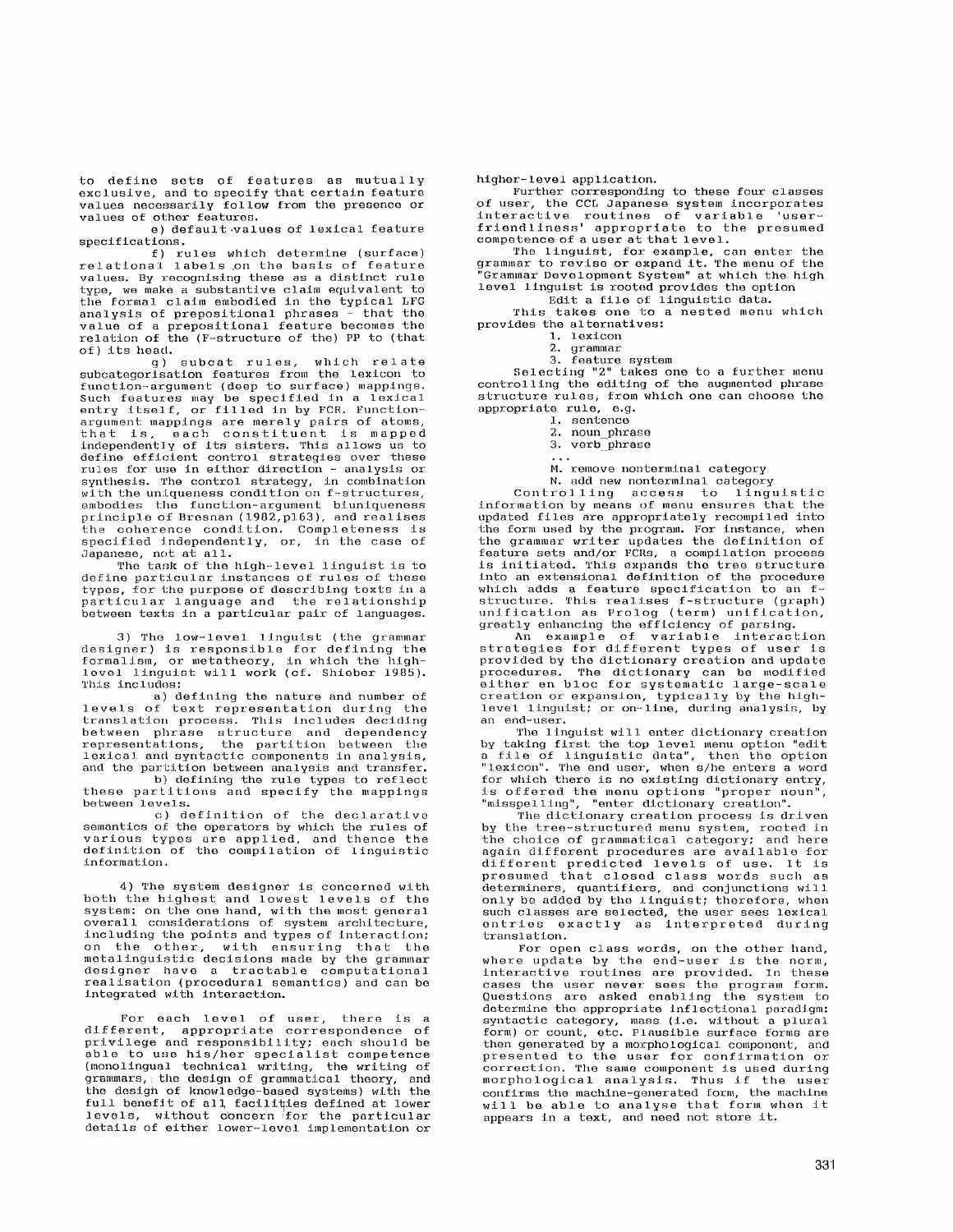to define sets of features as mutually exclusive, and to specify that certain feature values necessarily follow from the presence or values of other features.

e) default values of lexical feature specifications.

f) rules which determine (surface) relational labels ,on the basis of feature values. By recognising these as a distinct rule type, we make a substantive claim equivalent to the formal claim embodied in the typical LFG analysis of prepositional phrases - that the value of a prepositional feature becomes the relation of the (F-structure of the) PP to (that of) its head.

g) subcat rules, which relate subcategorisatlon features from the lexicon to function-argument (deep to surface) mappings. Such features may be specified in a lexical entry itself, or filled in by FCR. Functionargument mappings are merely pairs of atoms,<br>that is, each constituent is mapped<br>independently of its sisters. This allows us to<br>define efficient control strategies over these rules for use in either direction - analysis or synthesis. The control strategy, in combination with the uniqueness condition on f-structures, embodies the function-argument biuniqueness principle of Bresnan (1982,p163), and realises the coherence condition. Completeness is specified independently, or, in the case of Japanese, not at all.

The task of the hlgh-level linguist is to define particular instances of rules of these types, for the purpose of describing texts in a particular language and "the relationship between texts in a particular pair of languages.

3) The low-level linguist (the grammar designer) is responsible for defining the formalism, or metatheory, in which the high-level linguist will work (cf. Shisber 1985). This includes:

a) defining the nature and number of levels of text representation during the<br>translation process. This includes deciding between phrase structure and dependency<br>representations, the partition between the<br>lexical andsyntactic components in-analysis, and the partition between analysis and transfer.

b) defining the rule types to reflect these partitions and specify the mappings between levels.

c) definition of the declarative semantics of the operators by which the rules of various types are applied, and thence the definition of the compilation of linguistic information.

4) The system designer is concerned with both the highest and lowest levels of the system: on the one hand, with the most general overall considerations of system architecture, including the points and types of interaction; on the other, with ensuring that the metalinguistic decisions made by tbe grammar designer have a tractable computational realisation (procedural semantics) and can be integrated with interaction.

For each level of user, there is a different, appropriate correspondence of privilege and responsibility; each should be able to use his/her specialist competence (monolingual technical writing, the writing of grammars, the design of grammatical theory, and the desigh of knowledge-based systems) with the full benefit of all facilities defined at lower<br>levels, without concern for the particular details of either lower-level implementation or

higher- level application.

Further corresponding to these four classes of user, the CCL Japanese system incorporates interactive routines of variable 'user-friendliness' appropriate to the presumed competence of a user at that level.

The linguist, for example, can enter the grammar to revise or expand it. The menu of the "Grammar Development System" at which the high level linguist is rooted provides the option

Edit a file of linguistic data.

This takes one to a nested menu which provides the alternatives:

I. lexicon

2. grammar

3. feature system

Selecting "2" takes one to a further menu controlling the editing of the augmented phrase structure rules, from which one can choose the appropriate rule, e.g.

i. sentence

2. noun phrase

3. verb phrase

 $\sim$   $\sim$   $\sim$ 

M. remove nonterminal category N. add new nonterminal category

Control ling access to linguistic information by means of menu ensures that the updated files are appropriately recompiled into the form used by the program. For instance, when the grammar writer updates the definition of<br>feature sets and/or FCRs, a compilation process<br>is initiated. This expands the tree structure into an extensional definition of the procedure which adds a feature specification to an f-structure. This realises f-structure (graph) unification as Prolog (term) unification, greatly enhancing the efficiency of parsing.

An example of variable interaction<br>strategies for different types of user is provided by the dictionary creation and update procedures. The dictionary can be modified either en bloc for systematic large-scale creation or expansion, typically by the highlevel linguist; or on-line, during analysis, by an end-user.

The linguist will enter dictionary creation by taking first the top level menu option "edit a file of linguistic data", then the option "lexicon". The end user, when s/he enters a word for which there is no existing dictionary entry, is offered the menu options "proper noun", "misspelling", "enter dictionary creation". The dictionary creation process is driven

by the tree-structured menu system, rooted in the choice of grammatical category; and here<br>again different procedures are available for different predicted levels of use. It is presumed that closed class words such as .<br>determiners, quantifiers, and conjunctions will only be added by the linguist; therefore, when such classes are selected, the user sees lexical<br>entries exactly as interpreted during translation.

For open class words, on the other hand, where update by the end-user is the norm, interactive routines are provided. In these cases the user never sees the program form. Questions are asked enabling the system to determine the appropriate inflectional paradigm: syntactic category, mass (i.e. without a plural form) or count, etc. Plausible surface forms are then generated by a morphological component, and presented to the user for confirmation or correction. The same component is used during morphological analysis. Thus if the user confirms the machine-generated form, the machine will be able to analyse that form when it appears in a text, and need not store it.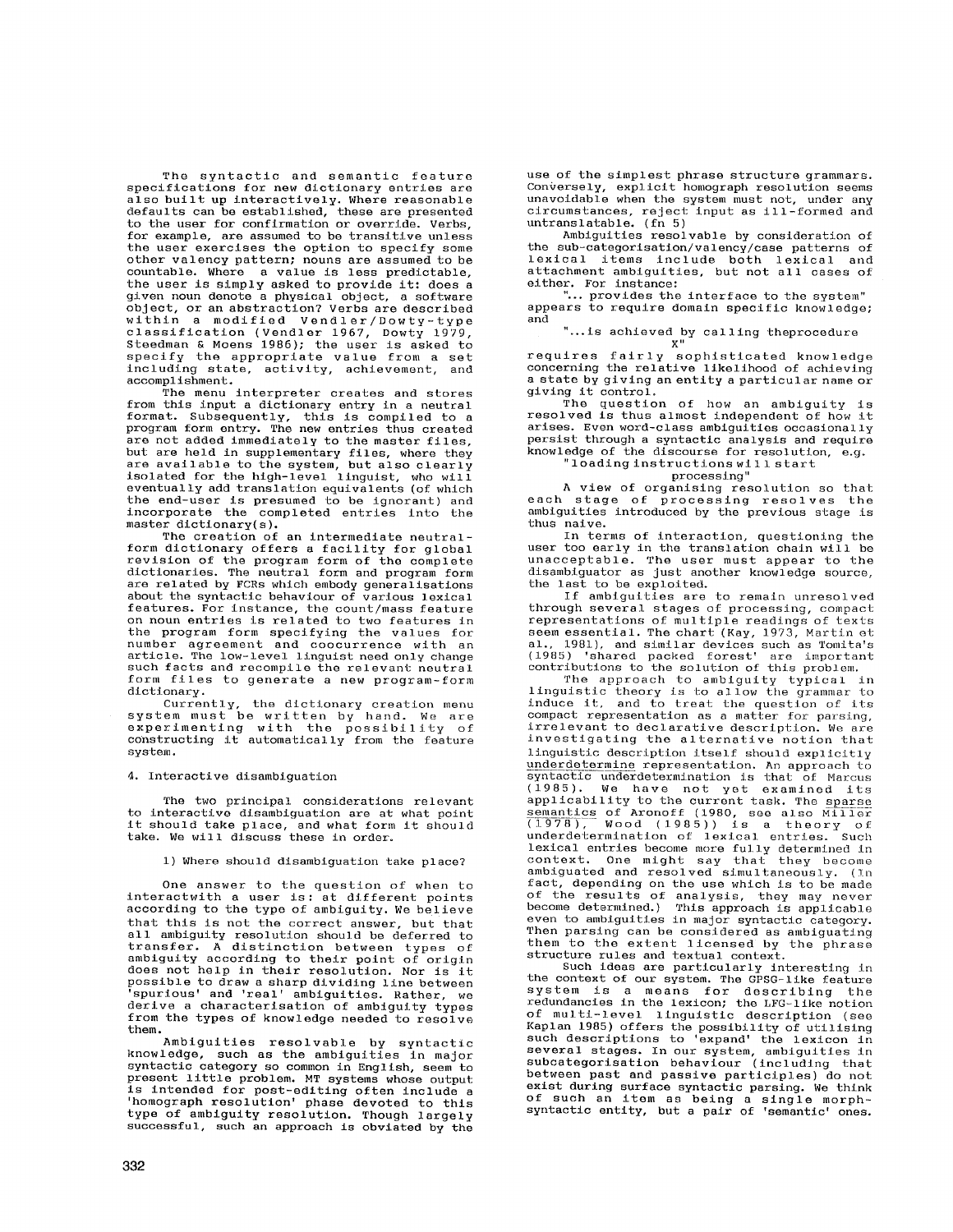The syntactic and semantic feature specifications for new dictionary entries are also built up interactively. Where reasonable defaults can be established, these are presented to the user for confirmation or override. Verbs, for example, are assumed to be transitive unless the user exercises the option to specify some other valency pattern; nouns are assumed to be countable. Where a value is less predictable, the user is simply asked to provide it: does a given noun denote a physical object, a software object, or an abstraction? Verbs are described within a modified Vendler/Dowty-type classification (Vendler 1967, Dowty 197 Steedman & Moens 1986); the user is asked to specify the appropriate value from a set including state, activity, achievement, and accomplishment.

The menu interpreter creates and stores from this input a dictionary entry in a neutral format. Subsequently, this is compiled to a program form entry. The new entries thus created are not added immediately to the master files. but are held in supplementary files, where they are available to the system, but also clearly isolated for the high-level linguist, who will eventually add translation equivalents (of which the end-user is presumed to be ignorant) and incorporate the completed entries into the master dictionary(s).

The creation of an intermediate neutralform dictionary offers a facility for global revision of the program form of the complete dictionaries. The neutral form and program form are related by FCRs which embody generalisations about the syntactic behaviour of various Iexical features. For instance, the count/mass feature on noun entries is related to two features in the program form specifying the values for number agreement and eoocurrence with an article. The low-level linguist need only change such facts and recompile the relevant neutral form files to generate a new program-form dictionary.

Currently, the dictionary creation menu<br>system must be written by hand. We are<br>experimenting with the possibility of<br>constructing it automatically from the feature system.

## 4. Interactive disambiguation

The two principal considerations relevant to interactive disambiguation are at what point it should take place, and what form it should take. We will discuss these in order.

### i) Where should disambiguation take place?

One answer to the question of when to interactwith a user is: at different points<br>according to the type of ambiguity. We believe that this is not the correct answer, but that all ambiguity resolution should be deferred to transfer. A distinction between types of ambiguity according to their point of origin does not help in their resolution. Nor is it possible to draw a sharp dividing line between spurious' and 'real' ambiguities. Rather, we derive a characterisation of ambiguity types from the types of knowledge needed to resolve them.

Ambiguities resolvable by syntactic knowledge, such as the ambiguities in major syntactic category so common in English, seem to present little problem. MT systems whose output is intended for post-editlng often include a 'homograph resolution' phase devoted to this type of ambiguity resolution. Though largely successful, such an approach is obviated by the

use of the simplest phrase structure grammars. Conversely, explicit homograph resolution seems unavoidable when the system must not, under any circumstances, reject input as ill-formed and untranslatable. (fn 5)

Ambiguities resolvable by consideration of the sub-categorisation/valency/case patterns of lexical items include both lexical and attachment ambiguities, but not all cases of either. For instance:

... provides the interface to the system" appears to require domain specific knowledge;<br>and and

"...is achieved by calling theprocedure X" requires fairly sophisticated knowledge concerning the relative likelihood of achieving a state by giving an entity a particular name or giving it control.

The question of how an ambiguity is resolved is thus almost independent of how it arises. Even word-class ambiguities occasionally persist through a syntactic analysis and require knowledge of the discourse for resolution, e.g.

## "loading instructions will start

# processing"

A view of organising resolution so that each stage of processing resolves the ambiguities introduced by the previous stage is thus naive.

In terms of interaction, questioning the user too early in the translation chain will be unacceptable. The user must appear to the disambiguator as just another knowledge source, the last to be exploited.

If ambiguities are to remain unresolved through several stages of processing, compact representations of multiple readings of texts seem essential. The chart (Kay, 1973, Martin et

al., 1981), and similar devices such as Tomita's<br>(1985) 'shared packed forest' are important<br>contributions to the solution of this problem.<br>The approach to ambiguity typical in<br>linguistic theory is to allow the grammar to<br> compact representation as a matter for parsing, irrelevant to declarative description. We are investigating the alternative notion that linguistic description itself should explicitly underdetermine representation. An approach to<br>syntactic underdetermination is that of Marcus (1985). We have not yet examined its applicability to the current task. The sparse semantics of Aronoff (1980, see also Miller<br>(1978), Wood (1985)) is a theory of<br>underdetermination of lexical entries. Such lexical entries become more fully determined in<br>context. One might say that they become<br>ambiguated and resolved simultaneously. (In fact, depending on the use which is to be made of the results of analysis, they may never become determined.) This approach is applicable even to ambiguities in major syntactic category. Then parsing can be considered as ambiguating them to the extent licensed by the phrase structure rules and textual context.

Such ideas are particularly interesting in the context of our system. The GPSG-Iike feature system is a means for describing the redundancies in the lexicon; the LFG-like notion of multi-level linguistic description (see Kaplan 1985) offers the possibility of utilising<br>such descriptions to 'expand' the lexicon in several stages. In our system, ambiguities in subcategorisation behaviour (including that between past and passive participles) do not exist during surface syntactic parsing. We think of such an item as being a single morph-syntactic entity, but a pair of 'semantic' ones.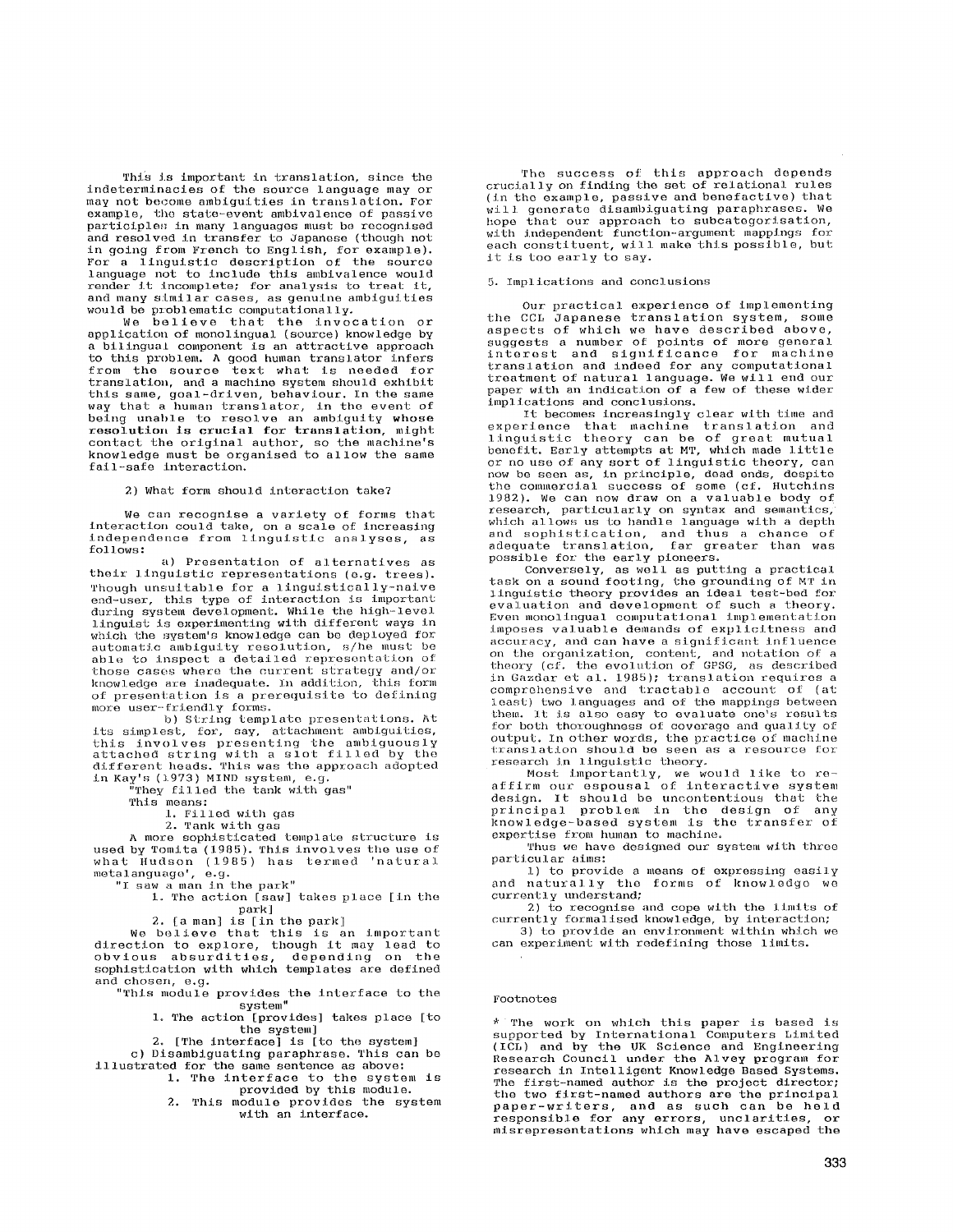This is important in translation, since the indeterminacles of the source language may *or*  may not become ambiguities in translation. For example, the state-event ambivalence of passive participles in many languages must be recognised and resolved in transfer to Japanese (though not in going from French to English, for example). For a linguistic description of the source language not to include this ambivalence would render it incomplete; for analysis to treat it, and many similar cases, as genuine ambiguities would be problematic computationally.

We believe that tile invocation or application of monolingual (source) knowledge by a bilingual component is an attractive approach to this problem. A good human translator infers<br>from the source text what is needed for from the source text what is needed translation, and a machine system should exhibit this same, goal-driven, behaviour. In the same way that a human translator, in the event of being unable to resolve an ambiguity whose resolution is crucial for *translation*, might contact the original author, so the machine's knowledge must be organised to allow the same fail-safe interaction.

2) What form should interaction take?

We can recognise a variety of forms that interaction could take, on a scale of increasing independence from linguistic analyses, as fol lows :

a) Presentation of alternatives as their linguistic representations (e.g. trees). Though unsuitable for a *linguistlcally-naive*  end-user, this type of interaction is important during system development. While the high-level linguist is experimenting with different ways in which the system's knowledge can be deployed for<br>automatic ambiguity resolution, s/he must be<br>able to inspect a detailed representation of those cases where the current strategy and/or knowledge are inadequate. In addition, this form of presentation is a prerequisite 'to defining more user-friendly forms.

b) String template presentations. At its simplest, for, say, attachment ambiguities,<br>this involves presenting the ambiguously attached string with a slot filled by the<br>different heads. This was the approach adopted<br>in Kay's (1973) MIND system, e.g.

They filled the tank with gas"

This means:

1. Filled with gas

2. Tank with gas

A more sophisticated template structure is used by Tomita (1985). This involves the use of what Hudson (1985) has termed 'natural metalanguago', e.g.

"I saw a man in the park"

1. The action [saw] takes place [in the park]

2. [a man] is [in the park]

We believe that this is an important direction to explore, though it may lead to obvious absurdities, depending on the sophistication with which templates are defined and chosen, e.g.

"This module provides the interface to the system"

1. The action [provides] takes place [to the system]

2. [The interface] is [to the system]

c) Disambiguating paraphrase. This can be illustrated for the same sentence as above:

I. The interface to the system is provided by this module.

2. This module provides the system with an interface.

The success of this approach depends crucially on finding the set of relational rules (in the example, passive and benefactive) that will generate disambiguating paraphrases. We hope that our approach to subcategorisation, with independent function-argument mappings for each constituent, will make this possible, but it is too early to say.

## 5. Implications and conclusions

Our practical *experience* of implementing the CCL Japanese translation system, some aspects of which we have described above, suggests a number of points of more general interest and significance for machine *translation* and indeed for any computational treatment of natural language. We will end our paper with an indication of a few of these wider implications and conclusions.

It becomes increasingly clear with time and<br>experience that machine translation and<br>linguistic theory can be of great mutual<br>benefit. Early attempts at MT, which made little<br>or no use of any sort of linguistic theory, can<br> 1982). We can now draw on a valuable body of research, particularly on syntax and semantics, which allows us to handle language with a depth and sophistication, and thus a chance of adequate translation, far greater than was possible for the early pioneers.

Conversely, as well as putting a practical<br>task on a sound footing, the grounding of MT in linguistic theory provides an ideal test-bed for evaluation and development of such a theory. Even monolingual computational implementation imposes valuable demands of explicitness and accuracy, and can have a significant influence on the organization, content, and notation of a theory (cf. the evolution of GPSG, as described in Gazdar et al. 1985); translation requires a comprehensive and tractable account of (at least) two languages and of the mappings between them. It is also easy to evaluate one's results for beth thoroughness of coverage and quality of output. In other words, the practice of machine translation should be seen as a resource for<br>research in linguistic theory.

Most importantly, we would like to re-. affirm our espousal of interactive system design. It should be uncontentlous that the principal problem in the design of any knowledge-based system is the *transfer* of expertise from human to machine.

Thus we have designed our system with three particular aims:

i) to provide a means of expressing easily and naturally the forms of knowledge we currently understand;

2) to recognise and cope with the limits of currently formallsed knowledge, by interaction; 3) to provide an environment within which we

can experiment with redefining those limits.

## Footnotes

\* The work on which this paper is based is supported by International Computers Limited (ICL) and by the UK Science and Engineering Research Council under the Alvey program for £esearch in Intelligent Knowledge Based Systems. The first-named author is the project director; the two first-named authors are the principal paper-writers, and as such can be held £esponsible for any errors, unclarities, or misrepresentations which may have escaped the